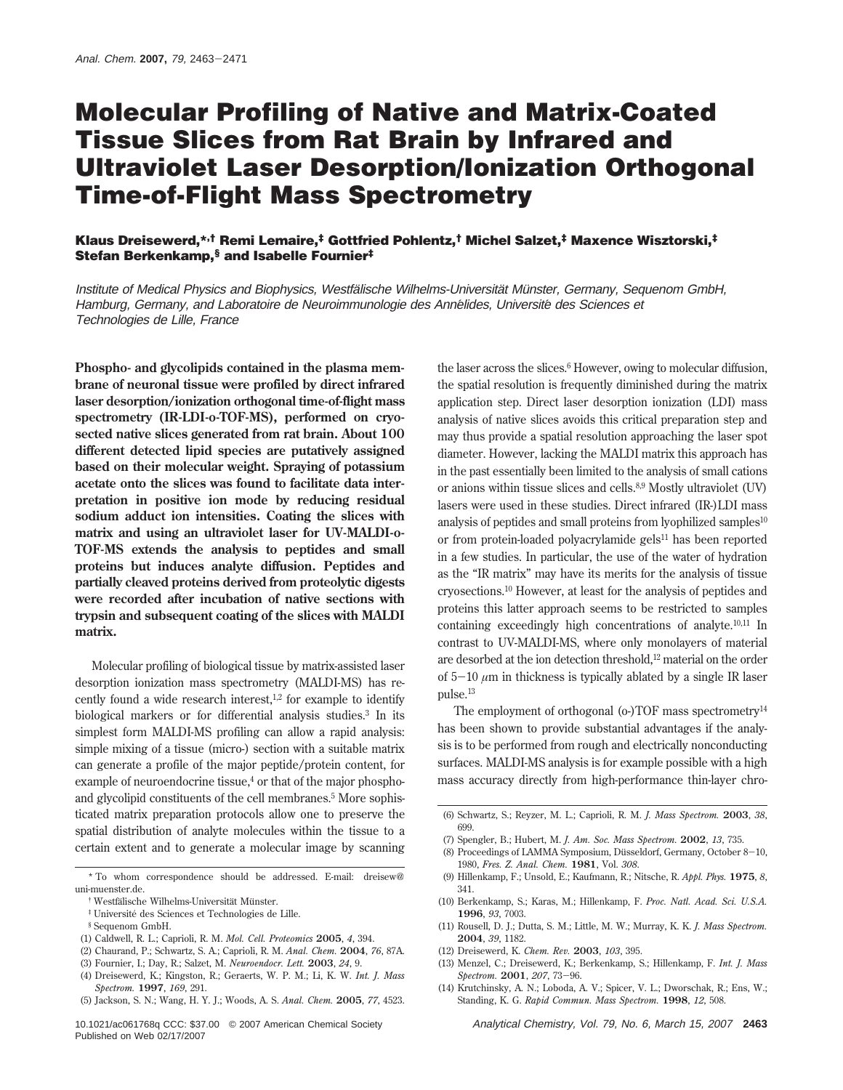# **Molecular Profiling of Native and Matrix-Coated Tissue Slices from Rat Brain by Infrared and Ultraviolet Laser Desorption/Ionization Orthogonal Time-of-Flight Mass Spectrometry**

## **Klaus Dreisewerd,\*,† Remi Lemaire,‡ Gottfried Pohlentz,† Michel Salzet,‡ Maxence Wisztorski,‡ Stefan Berkenkamp,§ and Isabelle Fournier‡**

Institute of Medical Physics and Biophysics, Westfälische Wilhelms-Universität Münster, Germany, Sequenom GmbH, Hamburg, Germany, and Laboratoire de Neuroimmunologie des Annélides, Université des Sciences et Technologies de Lille, France

**Phospho- and glycolipids contained in the plasma membrane of neuronal tissue were profiled by direct infrared laser desorption/ionization orthogonal time-of-flight mass spectrometry (IR-LDI-o-TOF-MS), performed on cryosected native slices generated from rat brain. About 100 different detected lipid species are putatively assigned based on their molecular weight. Spraying of potassium acetate onto the slices was found to facilitate data interpretation in positive ion mode by reducing residual sodium adduct ion intensities. Coating the slices with matrix and using an ultraviolet laser for UV-MALDI-o-TOF-MS extends the analysis to peptides and small proteins but induces analyte diffusion. Peptides and partially cleaved proteins derived from proteolytic digests were recorded after incubation of native sections with trypsin and subsequent coating of the slices with MALDI matrix.**

Molecular profiling of biological tissue by matrix-assisted laser desorption ionization mass spectrometry (MALDI-MS) has recently found a wide research interest, $1,2$  for example to identify biological markers or for differential analysis studies.<sup>3</sup> In its simplest form MALDI-MS profiling can allow a rapid analysis: simple mixing of a tissue (micro-) section with a suitable matrix can generate a profile of the major peptide/protein content, for example of neuroendocrine tissue, $4$  or that of the major phosphoand glycolipid constituents of the cell membranes.<sup>5</sup> More sophisticated matrix preparation protocols allow one to preserve the spatial distribution of analyte molecules within the tissue to a certain extent and to generate a molecular image by scanning

\* To whom correspondence should be addressed. E-mail: dreisew@ uni-muenster.de.

- § Sequenom GmbH.
- (1) Caldwell, R. L.; Caprioli, R. M. *Mol. Cell. Proteomics* **2005**, *4*, 394.
- (2) Chaurand, P.; Schwartz, S. A.; Caprioli, R. M. *Anal. Chem.* **2004**, *76*, 87A.
- (3) Fournier, I.; Day, R.; Salzet, M. *Neuroendocr. Lett.* **2003**, *24*, 9.
- (4) Dreisewerd, K.; Kingston, R.; Geraerts, W. P. M.; Li, K. W. *Int. J. Mass Spectrom.* **1997**, *169*, 291.
- (5) Jackson, S. N.; Wang, H. Y. J.; Woods, A. S. *Anal. Chem.* **2005**, *77*, 4523.

the laser across the slices.<sup>6</sup> However, owing to molecular diffusion, the spatial resolution is frequently diminished during the matrix application step. Direct laser desorption ionization (LDI) mass analysis of native slices avoids this critical preparation step and may thus provide a spatial resolution approaching the laser spot diameter. However, lacking the MALDI matrix this approach has in the past essentially been limited to the analysis of small cations or anions within tissue slices and cells.8,9 Mostly ultraviolet (UV) lasers were used in these studies. Direct infrared (IR-)LDI mass analysis of peptides and small proteins from lyophilized samples<sup>10</sup> or from protein-loaded polyacrylamide gels<sup>11</sup> has been reported in a few studies. In particular, the use of the water of hydration as the "IR matrix" may have its merits for the analysis of tissue cryosections.10 However, at least for the analysis of peptides and proteins this latter approach seems to be restricted to samples containing exceedingly high concentrations of analyte.10,11 In contrast to UV-MALDI-MS, where only monolayers of material are desorbed at the ion detection threshold,<sup>12</sup> material on the order of  $5-10 \mu m$  in thickness is typically ablated by a single IR laser pulse.13

The employment of orthogonal (o-)TOF mass spectrometry<sup>14</sup> has been shown to provide substantial advantages if the analysis is to be performed from rough and electrically nonconducting surfaces. MALDI-MS analysis is for example possible with a high mass accuracy directly from high-performance thin-layer chro-

- (6) Schwartz, S.; Reyzer, M. L.; Caprioli, R. M. *J. Mass Spectrom.* **2003**, *38*, 699.
- (7) Spengler, B.; Hubert, M. *J. Am. Soc. Mass Spectrom.* **2002**, *13*, 735.
- (8) Proceedings of LAMMA Symposium, Düsseldorf, Germany, October 8-10, 1980, *Fres. Z. Anal. Chem.* **1981**, Vol. *308*.
- (9) Hillenkamp, F.; Unsold, E.; Kaufmann, R.; Nitsche, R. *Appl. Phys.* **1975**, *8*, 341.
- (10) Berkenkamp, S.; Karas, M.; Hillenkamp, F. *Proc. Natl. Acad. Sci. U.S.A.* **1996**, *93*, 7003.
- (11) Rousell, D. J.; Dutta, S. M.; Little, M. W.; Murray, K. K. *J. Mass Spectrom.* **2004**, *39*, 1182.
- (12) Dreisewerd, K. *Chem. Rev.* **2003**, *103*, 395.
- (13) Menzel, C.; Dreisewerd, K.; Berkenkamp, S.; Hillenkamp, F. *Int. J. Mass Spectrom.* **<sup>2001</sup>**, *<sup>207</sup>*, 73-96.
- (14) Krutchinsky, A. N.; Loboda, A. V.; Spicer, V. L.; Dworschak, R.; Ens, W.; Standing, K. G. *Rapid Commun. Mass Spectrom.* **1998**, *12*, 508.

<sup>&</sup>lt;sup>†</sup> Westfälische Wilhelms-Universität Münster.

<sup>‡</sup> Universite´ des Sciences et Technologies de Lille.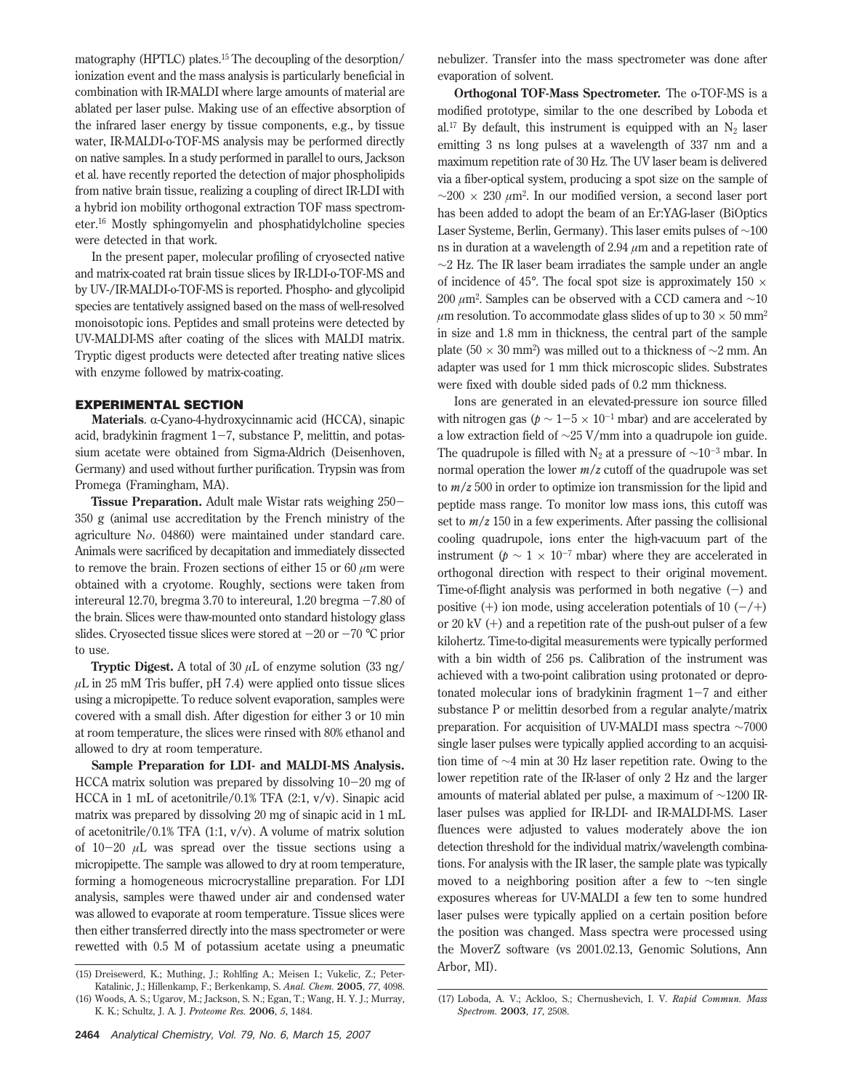matography (HPTLC) plates.15 The decoupling of the desorption/ ionization event and the mass analysis is particularly beneficial in combination with IR-MALDI where large amounts of material are ablated per laser pulse. Making use of an effective absorption of the infrared laser energy by tissue components, e.g., by tissue water, IR-MALDI-o-TOF-MS analysis may be performed directly on native samples. In a study performed in parallel to ours, Jackson et al. have recently reported the detection of major phospholipids from native brain tissue, realizing a coupling of direct IR-LDI with a hybrid ion mobility orthogonal extraction TOF mass spectrometer.16 Mostly sphingomyelin and phosphatidylcholine species were detected in that work.

In the present paper, molecular profiling of cryosected native and matrix-coated rat brain tissue slices by IR-LDI-o-TOF-MS and by UV-/IR-MALDI-o-TOF-MS is reported. Phospho- and glycolipid species are tentatively assigned based on the mass of well-resolved monoisotopic ions. Peptides and small proteins were detected by UV-MALDI-MS after coating of the slices with MALDI matrix. Tryptic digest products were detected after treating native slices with enzyme followed by matrix-coating.

### **EXPERIMENTAL SECTION**

**Materials**. α-Cyano-4-hydroxycinnamic acid (HCCA), sinapic acid, bradykinin fragment  $1-7$ , substance P, melittin, and potassium acetate were obtained from Sigma-Aldrich (Deisenhoven, Germany) and used without further purification. Trypsin was from Promega (Framingham, MA).

**Tissue Preparation.** Adult male Wistar rats weighing 250- 350 g (animal use accreditation by the French ministry of the agriculture N<sub>o</sub>. 04860) were maintained under standard care. Animals were sacrificed by decapitation and immediately dissected to remove the brain. Frozen sections of either 15 or 60 *µ*m were obtained with a cryotome. Roughly, sections were taken from intereural 12.70, bregma 3.70 to intereural, 1.20 bregma  $-7.80$  of the brain. Slices were thaw-mounted onto standard histology glass slides. Cryosected tissue slices were stored at  $-20$  or  $-70$  °C prior to use.

**Tryptic Digest.** A total of 30 *µ*L of enzyme solution (33 ng/  $\mu$ L in 25 mM Tris buffer, pH 7.4) were applied onto tissue slices using a micropipette. To reduce solvent evaporation, samples were covered with a small dish. After digestion for either 3 or 10 min at room temperature, the slices were rinsed with 80% ethanol and allowed to dry at room temperature.

**Sample Preparation for LDI- and MALDI-MS Analysis.** HCCA matrix solution was prepared by dissolving 10-20 mg of HCCA in 1 mL of acetonitrile/0.1% TFA (2:1, v/v). Sinapic acid matrix was prepared by dissolving 20 mg of sinapic acid in 1 mL of acetonitrile/0.1% TFA (1:1, v/v). A volume of matrix solution of  $10-20$   $\mu$ L was spread over the tissue sections using a micropipette. The sample was allowed to dry at room temperature, forming a homogeneous microcrystalline preparation. For LDI analysis, samples were thawed under air and condensed water was allowed to evaporate at room temperature. Tissue slices were then either transferred directly into the mass spectrometer or were rewetted with 0.5 M of potassium acetate using a pneumatic nebulizer. Transfer into the mass spectrometer was done after evaporation of solvent.

**Orthogonal TOF-Mass Spectrometer***.* The o-TOF-MS is a modified prototype, similar to the one described by Loboda et al.<sup>17</sup> By default, this instrument is equipped with an  $N_2$  laser emitting 3 ns long pulses at a wavelength of 337 nm and a maximum repetition rate of 30 Hz. The UV laser beam is delivered via a fiber-optical system, producing a spot size on the sample of ∼200 × 230 *µ*m2. In our modified version, a second laser port has been added to adopt the beam of an Er:YAG-laser (BiOptics Laser Systeme, Berlin, Germany). This laser emits pulses of ∼100 ns in duration at a wavelength of 2.94 *µ*m and a repetition rate of  $\sim$ 2 Hz. The IR laser beam irradiates the sample under an angle of incidence of 45°. The focal spot size is approximately 150  $\times$ 200 *µ*m2. Samples can be observed with a CCD camera and ∼10  $\mu$ m resolution. To accommodate glass slides of up to 30  $\times$  50 mm<sup>2</sup> in size and 1.8 mm in thickness, the central part of the sample plate (50 × 30 mm<sup>2</sup>) was milled out to a thickness of ∼2 mm. An adapter was used for 1 mm thick microscopic slides. Substrates were fixed with double sided pads of 0.2 mm thickness.

Ions are generated in an elevated-pressure ion source filled with nitrogen gas ( $p \sim 1-5 \times 10^{-1}$  mbar) and are accelerated by a low extraction field of ∼25 V/mm into a quadrupole ion guide. The quadrupole is filled with N<sub>2</sub> at a pressure of  $\sim$ 10<sup>-3</sup> mbar. In normal operation the lower *m*/*z* cutoff of the quadrupole was set to *m*/*z* 500 in order to optimize ion transmission for the lipid and peptide mass range. To monitor low mass ions, this cutoff was set to  $m/z$  150 in a few experiments. After passing the collisional cooling quadrupole, ions enter the high-vacuum part of the instrument ( $p \sim 1 \times 10^{-7}$  mbar) where they are accelerated in orthogonal direction with respect to their original movement. Time-of-flight analysis was performed in both negative  $(-)$  and positive  $(+)$  ion mode, using acceleration potentials of 10  $(-/+)$ or 20 kV  $(+)$  and a repetition rate of the push-out pulser of a few kilohertz. Time-to-digital measurements were typically performed with a bin width of 256 ps. Calibration of the instrument was achieved with a two-point calibration using protonated or deprotonated molecular ions of bradykinin fragment  $1-7$  and either substance P or melittin desorbed from a regular analyte/matrix preparation. For acquisition of UV-MALDI mass spectra ∼7000 single laser pulses were typically applied according to an acquisition time of ∼4 min at 30 Hz laser repetition rate. Owing to the lower repetition rate of the IR-laser of only 2 Hz and the larger amounts of material ablated per pulse, a maximum of ∼1200 IRlaser pulses was applied for IR-LDI- and IR-MALDI-MS. Laser fluences were adjusted to values moderately above the ion detection threshold for the individual matrix/wavelength combinations. For analysis with the IR laser, the sample plate was typically moved to a neighboring position after a few to ∼ten single exposures whereas for UV-MALDI a few ten to some hundred laser pulses were typically applied on a certain position before the position was changed. Mass spectra were processed using the MoverZ software (vs 2001.02.13, Genomic Solutions, Ann

Arbor, MI). (15) Dreisewerd, K.; Muthing, J.; Rohlfing A.; Meisen I.; Vukelic, Z.; Peter-Katalinic, J.; Hillenkamp, F.; Berkenkamp, S. *Anal. Chem.* **2005**, *77*, 4098. (16) Woods, A. S.; Ugarov, M.; Jackson, S. N.; Egan, T.; Wang, H. Y. J.; Murray,

K. K.; Schultz, J. A. J. *Proteome Res.* **2006**, *5*, 1484.

<sup>(17)</sup> Loboda, A. V.; Ackloo, S.; Chernushevich, I. V. *Rapid Commun. Mass Spectrom.* **2003**, *17*, 2508.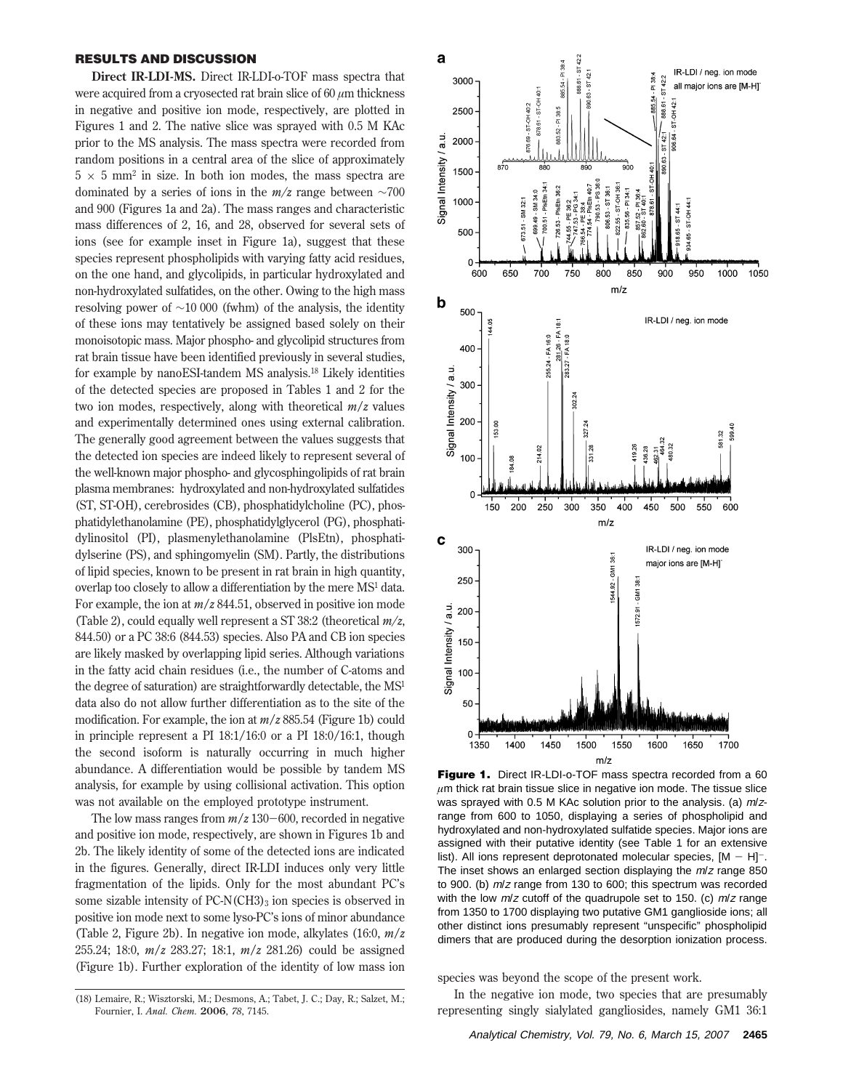## **RESULTS AND DISCUSSION**

**Direct IR-LDI-MS.** Direct IR-LDI-o-TOF mass spectra that were acquired from a cryosected rat brain slice of 60 *µ*m thickness in negative and positive ion mode, respectively, are plotted in Figures 1 and 2. The native slice was sprayed with 0.5 M KAc prior to the MS analysis. The mass spectra were recorded from random positions in a central area of the slice of approximately  $5 \times 5$  mm<sup>2</sup> in size. In both ion modes, the mass spectra are dominated by a series of ions in the *m/z* range between ∼700 and 900 (Figures 1a and 2a). The mass ranges and characteristic mass differences of 2, 16, and 28, observed for several sets of ions (see for example inset in Figure 1a), suggest that these species represent phospholipids with varying fatty acid residues, on the one hand, and glycolipids, in particular hydroxylated and non-hydroxylated sulfatides, on the other. Owing to the high mass resolving power of ∼10 000 (fwhm) of the analysis, the identity of these ions may tentatively be assigned based solely on their monoisotopic mass. Major phospho- and glycolipid structures from rat brain tissue have been identified previously in several studies, for example by nanoESI-tandem MS analysis.18 Likely identities of the detected species are proposed in Tables 1 and 2 for the two ion modes, respectively, along with theoretical *m*/*z* values and experimentally determined ones using external calibration. The generally good agreement between the values suggests that the detected ion species are indeed likely to represent several of the well-known major phospho- and glycosphingolipids of rat brain plasma membranes: hydroxylated and non-hydroxylated sulfatides (ST, ST-OH), cerebrosides (CB), phosphatidylcholine (PC), phosphatidylethanolamine (PE), phosphatidylglycerol (PG), phosphatidylinositol (PI), plasmenylethanolamine (PlsEtn), phosphatidylserine (PS), and sphingomyelin (SM). Partly, the distributions of lipid species, known to be present in rat brain in high quantity, overlap too closely to allow a differentiation by the mere MS1 data. For example, the ion at *m*/*z* 844.51, observed in positive ion mode (Table 2), could equally well represent a ST 38:2 (theoretical *m/z*, 844.50) or a PC 38:6 (844.53) species. Also PA and CB ion species are likely masked by overlapping lipid series. Although variations in the fatty acid chain residues (i.e., the number of C-atoms and the degree of saturation) are straightforwardly detectable, the MS1 data also do not allow further differentiation as to the site of the modification. For example, the ion at *m*/*z* 885.54 (Figure 1b) could in principle represent a PI 18:1/16:0 or a PI 18:0/16:1, though the second isoform is naturally occurring in much higher abundance. A differentiation would be possible by tandem MS analysis, for example by using collisional activation. This option was not available on the employed prototype instrument.

The low mass ranges from *<sup>m</sup>*/*<sup>z</sup>* <sup>130</sup>-600, recorded in negative and positive ion mode, respectively, are shown in Figures 1b and 2b. The likely identity of some of the detected ions are indicated in the figures. Generally, direct IR-LDI induces only very little fragmentation of the lipids. Only for the most abundant PC's some sizable intensity of  $PC-N(CH3)_3$  ion species is observed in positive ion mode next to some lyso-PC's ions of minor abundance (Table 2, Figure 2b). In negative ion mode, alkylates (16:0, *m*/*z* 255.24; 18:0, *m*/*z* 283.27; 18:1, *m*/*z* 281.26) could be assigned (Figure 1b). Further exploration of the identity of low mass ion species was beyond the scope of the present work.



**Figure 1.** Direct IR-LDI-o-TOF mass spectra recorded from a 60 *µ*m thick rat brain tissue slice in negative ion mode. The tissue slice was sprayed with 0.5 M KAc solution prior to the analysis. (a)  $m/z$ range from 600 to 1050, displaying a series of phospholipid and hydroxylated and non-hydroxylated sulfatide species. Major ions are assigned with their putative identity (see Table 1 for an extensive list). All ions represent deprotonated molecular species,  $[M - H]$ <sup>-</sup>. The inset shows an enlarged section displaying the  $m/z$  range 850 to 900. (b) <sup>m</sup>/<sup>z</sup> range from 130 to 600; this spectrum was recorded with the low  $m/z$  cutoff of the quadrupole set to 150. (c)  $m/z$  range from 1350 to 1700 displaying two putative GM1 ganglioside ions; all other distinct ions presumably represent "unspecific" phospholipid dimers that are produced during the desorption ionization process.

In the negative ion mode, two species that are presumably representing singly sialylated gangliosides, namely GM1 36:1

<sup>(18)</sup> Lemaire, R.; Wisztorski, M.; Desmons, A.; Tabet, J. C.; Day, R.; Salzet, M.; Fournier, I. *Anal. Chem.* **2006**, *78*, 7145.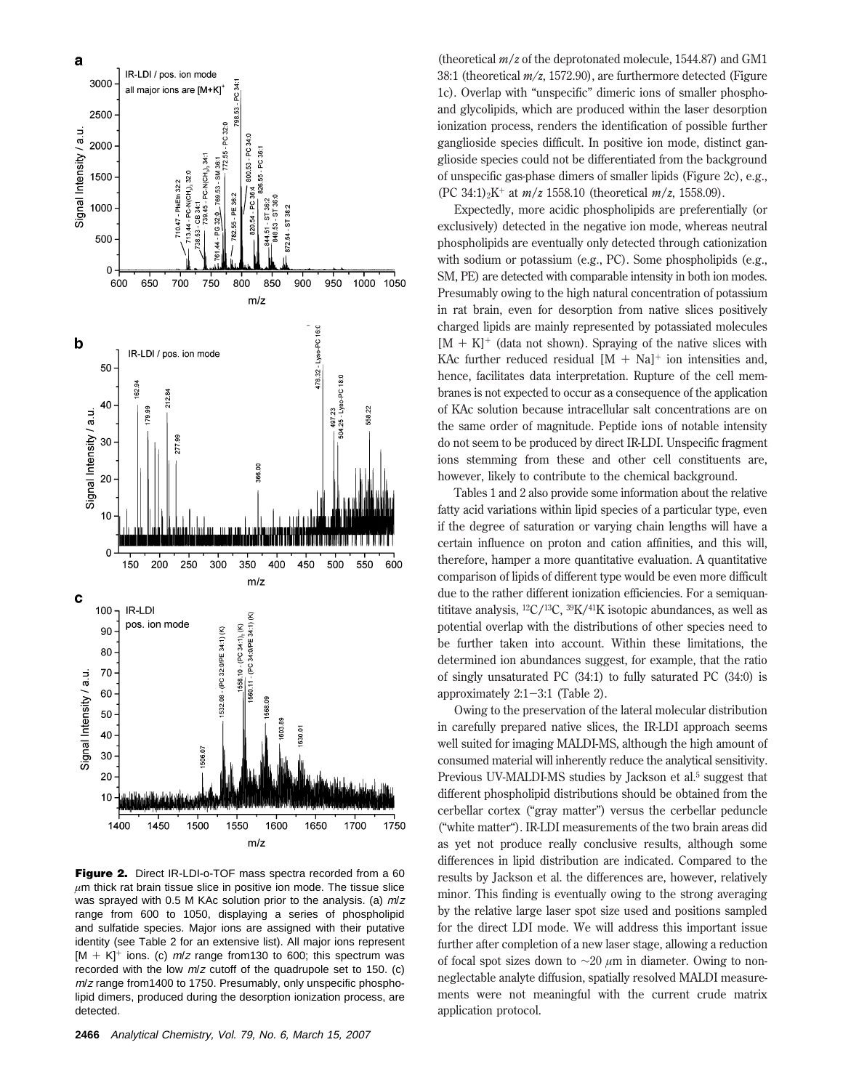

**Figure 2.** Direct IR-LDI-o-TOF mass spectra recorded from a 60 *µ*m thick rat brain tissue slice in positive ion mode. The tissue slice was sprayed with 0.5 M KAc solution prior to the analysis. (a)  $m/z$ range from 600 to 1050, displaying a series of phospholipid and sulfatide species. Major ions are assigned with their putative identity (see Table 2 for an extensive list). All major ions represent  $[M + K]^+$  ions. (c)  $m/z$  range from 130 to 600; this spectrum was recorded with the low <sup>m</sup>/<sup>z</sup> cutoff of the quadrupole set to 150. (c) m/z range from1400 to 1750. Presumably, only unspecific phospholipid dimers, produced during the desorption ionization process, are detected.

(theoretical *m*/*z* of the deprotonated molecule, 1544.87) and GM1 38:1 (theoretical *m/z*, 1572.90), are furthermore detected (Figure 1c). Overlap with "unspecific" dimeric ions of smaller phosphoand glycolipids, which are produced within the laser desorption ionization process, renders the identification of possible further ganglioside species difficult. In positive ion mode, distinct ganglioside species could not be differentiated from the background of unspecific gas-phase dimers of smaller lipids (Figure 2c), e.g., (PC 34:1)<sub>2</sub>K<sup>+</sup> at  $m/z$  1558.10 (theoretical  $m/z$ , 1558.09).

Expectedly, more acidic phospholipids are preferentially (or exclusively) detected in the negative ion mode, whereas neutral phospholipids are eventually only detected through cationization with sodium or potassium (e.g., PC). Some phospholipids (e.g., SM, PE) are detected with comparable intensity in both ion modes. Presumably owing to the high natural concentration of potassium in rat brain, even for desorption from native slices positively charged lipids are mainly represented by potassiated molecules  $[M + K]^+$  (data not shown). Spraying of the native slices with KAc further reduced residual  $[M + Na]^+$  ion intensities and, hence, facilitates data interpretation. Rupture of the cell membranes is not expected to occur as a consequence of the application of KAc solution because intracellular salt concentrations are on the same order of magnitude. Peptide ions of notable intensity do not seem to be produced by direct IR-LDI. Unspecific fragment ions stemming from these and other cell constituents are, however, likely to contribute to the chemical background.

Tables 1 and 2 also provide some information about the relative fatty acid variations within lipid species of a particular type, even if the degree of saturation or varying chain lengths will have a certain influence on proton and cation affinities, and this will, therefore, hamper a more quantitative evaluation. A quantitative comparison of lipids of different type would be even more difficult due to the rather different ionization efficiencies. For a semiquantititave analysis,  ${}^{12}C/{}^{13}C$ ,  ${}^{39}K/{}^{41}K$  isotopic abundances, as well as potential overlap with the distributions of other species need to be further taken into account. Within these limitations, the determined ion abundances suggest, for example, that the ratio of singly unsaturated PC (34:1) to fully saturated PC (34:0) is approximately 2:1-3:1 (Table 2).

Owing to the preservation of the lateral molecular distribution in carefully prepared native slices, the IR-LDI approach seems well suited for imaging MALDI-MS, although the high amount of consumed material will inherently reduce the analytical sensitivity. Previous UV-MALDI-MS studies by Jackson et al.<sup>5</sup> suggest that different phospholipid distributions should be obtained from the cerbellar cortex ("gray matter") versus the cerbellar peduncle ("white matter"). IR-LDI measurements of the two brain areas did as yet not produce really conclusive results, although some differences in lipid distribution are indicated. Compared to the results by Jackson et al. the differences are, however, relatively minor. This finding is eventually owing to the strong averaging by the relative large laser spot size used and positions sampled for the direct LDI mode. We will address this important issue further after completion of a new laser stage, allowing a reduction of focal spot sizes down to ∼20 *µ*m in diameter. Owing to nonneglectable analyte diffusion, spatially resolved MALDI measurements were not meaningful with the current crude matrix application protocol.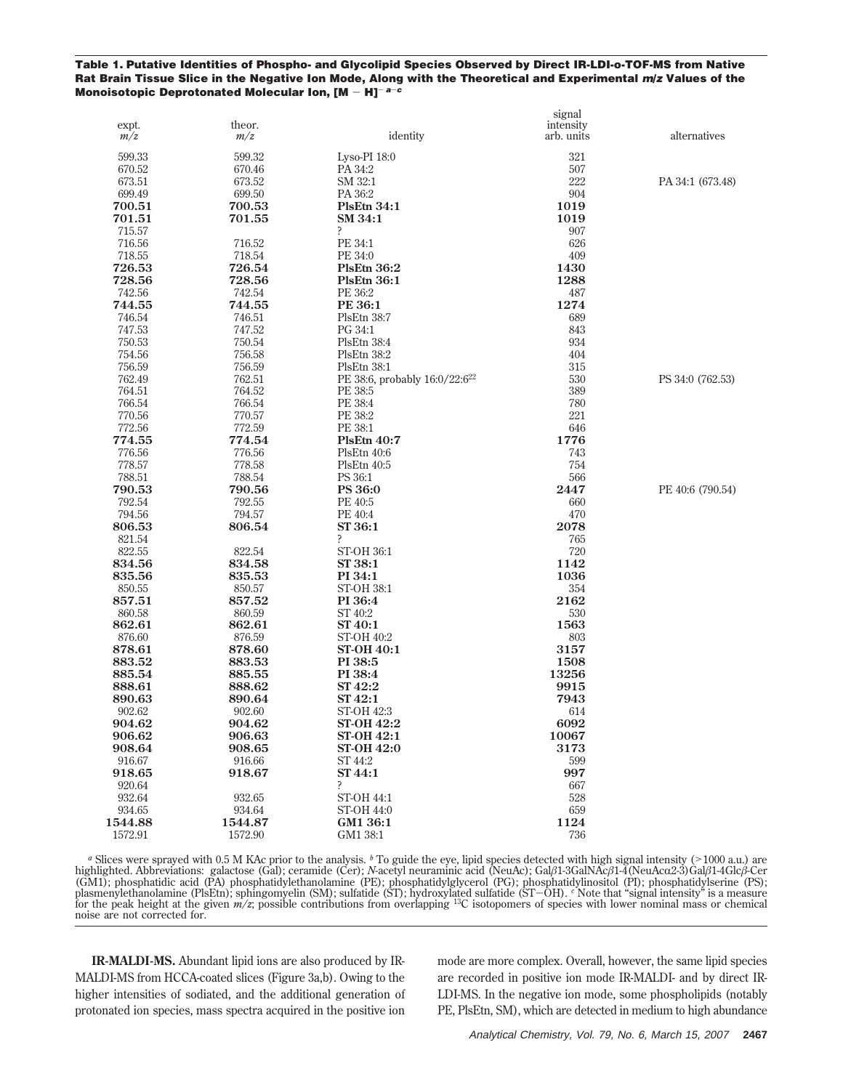#### **Table 1. Putative Identities of Phospho- and Glycolipid Species Observed by Direct IR-LDI-o-TOF-MS from Native Rat Brain Tissue Slice in the Negative Ion Mode, Along with the Theoretical and Experimental <sup>m</sup>/<sup>z</sup> Values of the Monoisotopic Deprotonated Molecular Ion, [M** - **H]**- **<sup>a</sup>**-**<sup>c</sup>**

|              |               |                                           | signal                  |                  |
|--------------|---------------|-------------------------------------------|-------------------------|------------------|
| expt.<br>m/z | theor.<br>m/z | identity                                  | intensity<br>arb. units | alternatives     |
|              |               |                                           |                         |                  |
| 599.33       | 599.32        | Lyso-PI $18:0$                            | 321                     |                  |
| 670.52       | 670.46        | PA 34:2                                   | 507                     |                  |
| 673.51       | 673.52        | SM 32:1                                   | 222                     | PA 34:1 (673.48) |
| 699.49       | 699.50        | PA 36:2                                   | 904                     |                  |
| 700.51       | 700.53        | <b>PlsEtn 34:1</b>                        | 1019                    |                  |
| 701.51       | 701.55        | SM 34:1                                   | 1019                    |                  |
| 715.57       |               | ?                                         | 907                     |                  |
| 716.56       | 716.52        | PE 34:1                                   | 626                     |                  |
| 718.55       | 718.54        | PE 34:0                                   | 409                     |                  |
| 726.53       | 726.54        | <b>PlsEtn 36:2</b>                        | 1430                    |                  |
| 728.56       | 728.56        | <b>PlsEtn 36:1</b>                        | 1288                    |                  |
| 742.56       | 742.54        | PE 36:2                                   | 487                     |                  |
| 744.55       | 744.55        | PE 36:1                                   | 1274                    |                  |
| 746.54       | 746.51        | PlsEtn 38:7                               | 689                     |                  |
| 747.53       | 747.52        | PG 34:1                                   | 843                     |                  |
| 750.53       | 750.54        | PlsEtn 38:4                               | 934                     |                  |
| 754.56       | 756.58        | PlsEtn 38:2                               | 404                     |                  |
| 756.59       | 756.59        | PlsEtn 38:1                               | 315                     |                  |
| 762.49       | 762.51        | PE 38:6, probably 16:0/22:6 <sup>22</sup> | 530                     | PS 34:0 (762.53) |
| 764.51       | 764.52        | PE 38:5                                   | 389                     |                  |
| 766.54       | 766.54        | PE 38:4                                   | 780                     |                  |
| 770.56       | 770.57        | PE 38:2                                   | 221                     |                  |
| 772.56       | 772.59        | PE 38:1                                   | 646                     |                  |
| 774.55       | 774.54        | <b>PlsEtn 40:7</b>                        | 1776                    |                  |
| 776.56       | 776.56        | $PlsEtn$ 40:6                             | 743                     |                  |
| 778.57       | 778.58        | $PlsEtn$ 40:5                             | 754                     |                  |
| 788.51       | 788.54        | PS 36:1                                   | 566                     |                  |
| 790.53       | 790.56        | PS 36:0                                   | 2447                    | PE 40:6 (790.54) |
| 792.54       | 792.55        | PE 40:5                                   | 660                     |                  |
| 794.56       | 794.57        | PE 40:4                                   | 470                     |                  |
| 806.53       | 806.54        | ST 36:1                                   | 2078                    |                  |
| 821.54       |               | P                                         | 765                     |                  |
| 822.55       | 822.54        | <b>ST-OH 36:1</b>                         | 720                     |                  |
| 834.56       | 834.58        | ST 38:1                                   | 1142                    |                  |
| 835.56       | 835.53        | PI 34:1                                   | 1036                    |                  |
| 850.55       | 850.57        | <b>ST-OH 38:1</b>                         | 354                     |                  |
| 857.51       | 857.52        | PI 36:4                                   | 2162                    |                  |
| 860.58       | 860.59        | ST 40:2                                   | 530                     |                  |
| 862.61       | 862.61        | ST 40:1                                   | 1563                    |                  |
| 876.60       | 876.59        | ST-OH 40:2                                | 803                     |                  |
| 878.61       | 878.60        | ST-OH 40:1                                | 3157                    |                  |
| 883.52       | 883.53        | PI 38:5                                   | 1508                    |                  |
| 885.54       | 885.55        | PI 38:4                                   | 13256                   |                  |
| 888.61       | 888.62        | ST 42:2                                   | 9915                    |                  |
| 890.63       | 890.64        | ST 42:1                                   | 7943                    |                  |
| 902.62       | 902.60        | <b>ST-OH 42:3</b>                         | 614                     |                  |
| 904.62       | 904.62        | <b>ST-OH 42:2</b>                         | 6092                    |                  |
| 906.62       | 906.63        | <b>ST-OH 42:1</b>                         | 10067                   |                  |
| 908.64       | 908.65        | <b>ST-OH 42:0</b>                         | 3173                    |                  |
| 916.67       | 916.66        | ST 44:2                                   | 599                     |                  |
| 918.65       | 918.67        | ST 44:1                                   | 997                     |                  |
| 920.64       |               | P                                         | 667                     |                  |
| 932.64       | 932.65        | <b>ST-OH 44:1</b>                         | 528                     |                  |
| 934.65       | 934.64        | <b>ST-OH 44:0</b>                         | 659                     |                  |
| 1544.88      | 1544.87       | GM1 36:1                                  | 1124                    |                  |
| 1572.91      | 1572.90       | GM1 38:1                                  | 736                     |                  |
|              |               |                                           |                         |                  |

<sup>*a*</sup> Slices were sprayed with 0.5 M KAc prior to the analysis. <sup>*b*</sup> To guide the eye, lipid species detected with high signal intensity (>1000 a.u.) are highlighted. Abbreviations: galactose (Gal); ceramide (Cer); *N*-a noise are not corrected for.

**IR-MALDI-MS.** Abundant lipid ions are also produced by IR-MALDI-MS from HCCA-coated slices (Figure 3a,b). Owing to the higher intensities of sodiated, and the additional generation of protonated ion species, mass spectra acquired in the positive ion

mode are more complex. Overall, however, the same lipid species are recorded in positive ion mode IR-MALDI- and by direct IR-LDI-MS. In the negative ion mode, some phospholipids (notably PE, PlsEtn, SM), which are detected in medium to high abundance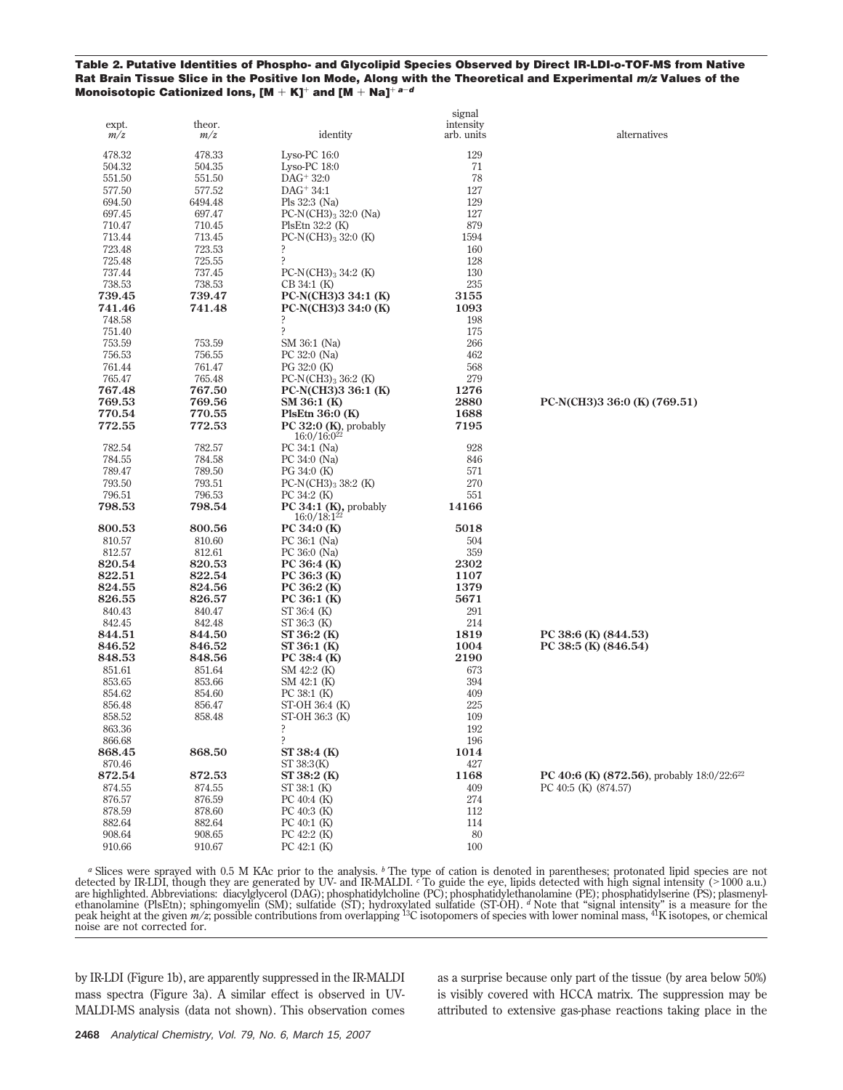#### **Table 2. Putative Identities of Phospho- and Glycolipid Species Observed by Direct IR-LDI-o-TOF-MS from Native Rat Brain Tissue Slice in the Positive Ion Mode, Along with the Theoretical and Experimental m/z Values of the Monoisotopic Cationized Ions, [M** <sup>+</sup> **K]**<sup>+</sup> **and [M** + **Na]**<sup>+</sup> **<sup>a</sup>**-**<sup>d</sup>**

| expt.<br>m/z     | theor.<br>m/z    | identity                                                 | signal<br>intensity<br>arb. units | alternatives                                    |
|------------------|------------------|----------------------------------------------------------|-----------------------------------|-------------------------------------------------|
| 478.32           | 478.33           | $Lvso-PC 16:0$                                           | 129                               |                                                 |
| 504.32           | 504.35           | Lyso-PC 18:0                                             | 71                                |                                                 |
| 551.50           | 551.50           | $DAG^+ 32:0$                                             | 78                                |                                                 |
| 577.50           | 577.52           | $DAG^+34:1$                                              | 127                               |                                                 |
| 694.50           | 6494.48          | Pls 32:3(Na)                                             | 129                               |                                                 |
| 697.45           | 697.47           | $PC-N(CH3)$ <sub>3</sub> 32:0 (Na)                       | 127                               |                                                 |
| 710.47           | 710.45           | $PlsEtn$ 32:2 $(K)$                                      | 879                               |                                                 |
| 713.44           | 713.45           | $PC-N(CH3)$ <sub>3</sub> 32:0 (K)                        | 1594                              |                                                 |
| 723.48           | 723.53           |                                                          | 160                               |                                                 |
| 725.48           | 725.55           | S.                                                       | 128                               |                                                 |
| 737.44           | 737.45           | $PC-N(CH3)$ <sub>3</sub> 34:2 (K)                        | 130                               |                                                 |
| 738.53           | 738.53           | CB 34:1 (K)                                              | 235                               |                                                 |
| 739.45           | 739.47           | PC-N(CH3)3 34:1 (K)                                      | 3155                              |                                                 |
| 741.46           | 741.48           | PC-N(CH3)3 34:0 (K)                                      | 1093                              |                                                 |
| 748.58           |                  |                                                          | 198                               |                                                 |
| 751.40           |                  | ρ                                                        | 175                               |                                                 |
| 753.59           | 753.59           | SM 36:1 (Na)                                             | 266                               |                                                 |
| 756.53           | 756.55           | PC 32:0 (Na)                                             | 462<br>568                        |                                                 |
| 761.44<br>765.47 | 761.47<br>765.48 | PG 32:0 (K)                                              | 279                               |                                                 |
| 767.48           | 767.50           | $PC-N(CH3)$ <sub>3</sub> 36:2 (K)<br>PC-N(CH3)3 36:1 (K) | 1276                              |                                                 |
| 769.53           | 769.56           | SM 36:1 (K)                                              | 2880                              | PC-N(CH3)3 36:0 (K) (769.51)                    |
| 770.54           | 770.55           | PlsEtn 36:0(K)                                           | 1688                              |                                                 |
| 772.55           | 772.53           | PC $32:0$ (K), probably<br>$16:0/16:0^{22}$              | 7195                              |                                                 |
| 782.54           | 782.57           | PC 34:1 (Na)                                             | 928                               |                                                 |
| 784.55           | 784.58           | PC 34:0 (Na)                                             | 846                               |                                                 |
| 789.47           | 789.50           | PG 34:0 (K)                                              | 571                               |                                                 |
| 793.50           | 793.51           | PC-N(CH3) <sub>3</sub> 38:2 (K)                          | 270                               |                                                 |
| 796.51           | 796.53           | PC $34:2$ (K)                                            | 551                               |                                                 |
| 798.53           | 798.54           | PC $34:1$ (K), probably<br>$16:0/18:1^{22}$              | 14166                             |                                                 |
| 800.53           | 800.56           | PC 34:0 (K)                                              | 5018                              |                                                 |
| 810.57           | 810.60           | PC 36:1 (Na)                                             | 504                               |                                                 |
| 812.57           | 812.61           | PC 36:0 (Na)                                             | 359                               |                                                 |
| 820.54<br>822.51 | 820.53<br>822.54 | PC 36:4 (K)                                              | 2302<br>1107                      |                                                 |
| 824.55           | 824.56           | PC 36:3 (K)<br>PC 36:2 (K)                               | 1379                              |                                                 |
| 826.55           | 826.57           | PC 36:1 (K)                                              | 5671                              |                                                 |
| 840.43           | 840.47           | ST 36:4 (K)                                              | 291                               |                                                 |
| 842.45           | 842.48           | ST 36:3 (K)                                              | 214                               |                                                 |
| 844.51           | 844.50           | ST 36:2 (K)                                              | 1819                              | PC 38:6 (K) (844.53)                            |
| 846.52           | 846.52           | ST 36:1 (K)                                              | 1004                              | PC 38:5 (K) (846.54)                            |
| 848.53           | 848.56           | PC 38:4 (K)                                              | 2190                              |                                                 |
| 851.61           | 851.64           | SM 42:2 (K)                                              | 673                               |                                                 |
| 853.65           | 853.66           | SM 42:1 (K)                                              | 394                               |                                                 |
| 854.62           | 854.60           | PC 38:1 (K)                                              | 409                               |                                                 |
| 856.48           | 856.47           | ST-OH 36:4 (K)                                           | 225                               |                                                 |
| 858.52           | 858.48           | ST-OH 36:3 (K)                                           | 109                               |                                                 |
| 863.36           |                  | ?                                                        | 192                               |                                                 |
| 866.68           |                  | ρ                                                        | 196                               |                                                 |
| 868.45           | 868.50           | ST 38:4 (K)                                              | 1014                              |                                                 |
| 870.46           |                  | ST 38:3(K)                                               | 427                               |                                                 |
| 872.54           | 872.53           | ST 38:2 (K)                                              | 1168                              | PC 40:6 (K) (872.56), probably $18:0/22:6^{22}$ |
| 874.55           | 874.55           | ST 38:1 (K)                                              | 409                               | PC 40:5 (K) (874.57)                            |
| 876.57           | 876.59           | PC 40:4 (K)                                              | 274                               |                                                 |
| 878.59           | 878.60           | PC 40:3 (K)                                              | 112                               |                                                 |
| 882.64<br>908.64 | 882.64           | PC $40:1$ (K)                                            | 114<br>80                         |                                                 |
| 910.66           | 908.65<br>910.67 | PC 42:2 (K)<br>PC 42:1 (K)                               | 100                               |                                                 |
|                  |                  |                                                          |                                   |                                                 |

<sup>*a*</sup> Slices were sprayed with 0.5 M KAc prior to the analysis. <sup>*b*</sup> The type of cation is denoted in parentheses; protonated lipid species are not detected by IR-LDI, though they are generated by UV- and IR-MALDI. <sup>*c*</sup> noise are not corrected for.

by IR-LDI (Figure 1b), are apparently suppressed in the IR-MALDI mass spectra (Figure 3a). A similar effect is observed in UV-MALDI-MS analysis (data not shown). This observation comes

as a surprise because only part of the tissue (by area below 50%) is visibly covered with HCCA matrix. The suppression may be attributed to extensive gas-phase reactions taking place in the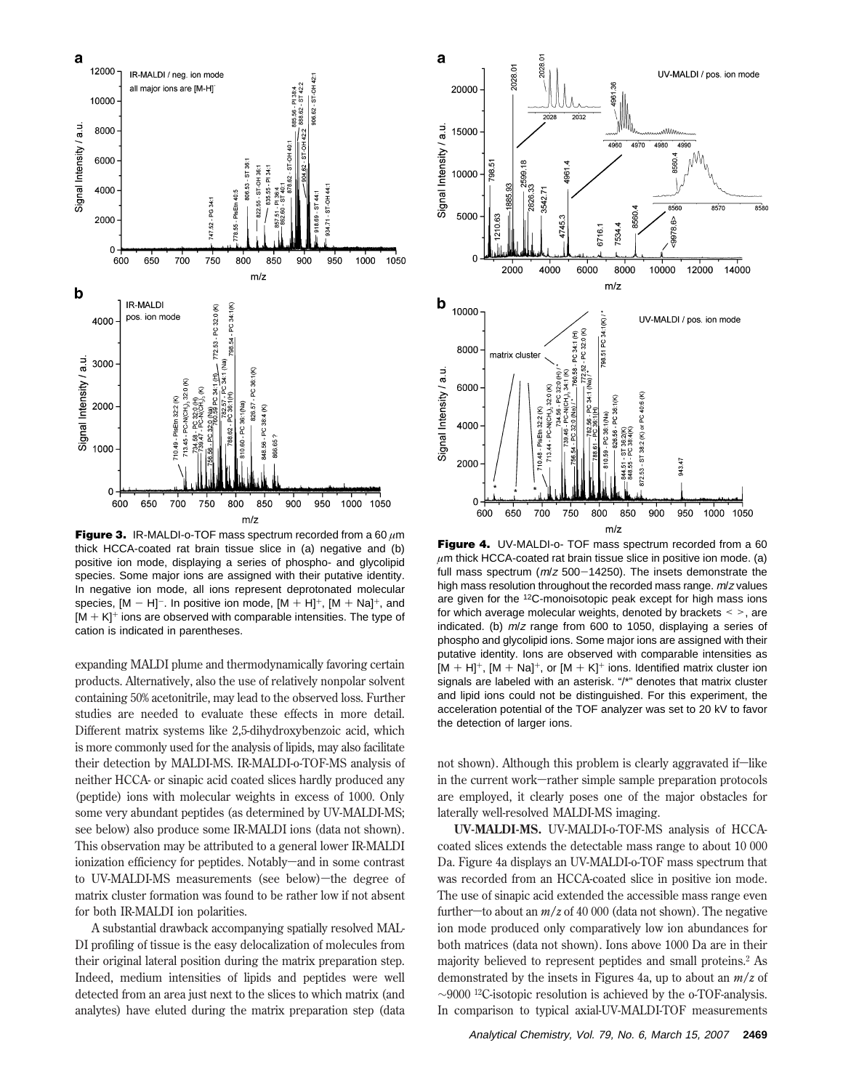

**Figure 3.** IR-MALDI-o-TOF mass spectrum recorded from a 60 *µ*m thick HCCA-coated rat brain tissue slice in (a) negative and (b) positive ion mode, displaying a series of phospho- and glycolipid species. Some major ions are assigned with their putative identity. In negative ion mode, all ions represent deprotonated molecular species,  $[M - H]$ <sup>-</sup>. In positive ion mode,  $[M + H]$ <sup>+</sup>,  $[M + Na]$ <sup>+</sup>, and  $[M + K]^+$  ions are observed with comparable intensities. The type of cation is indicated in parentheses.

expanding MALDI plume and thermodynamically favoring certain products. Alternatively, also the use of relatively nonpolar solvent containing 50% acetonitrile, may lead to the observed loss. Further studies are needed to evaluate these effects in more detail. Different matrix systems like 2,5-dihydroxybenzoic acid, which is more commonly used for the analysis of lipids, may also facilitate their detection by MALDI-MS. IR-MALDI-o-TOF-MS analysis of neither HCCA- or sinapic acid coated slices hardly produced any (peptide) ions with molecular weights in excess of 1000. Only some very abundant peptides (as determined by UV-MALDI-MS; see below) also produce some IR-MALDI ions (data not shown). This observation may be attributed to a general lower IR-MALDI ionization efficiency for peptides. Notably-and in some contrast to UV-MALDI-MS measurements (see below)—the degree of matrix cluster formation was found to be rather low if not absent for both IR-MALDI ion polarities.

A substantial drawback accompanying spatially resolved MAL-DI profiling of tissue is the easy delocalization of molecules from their original lateral position during the matrix preparation step. Indeed, medium intensities of lipids and peptides were well detected from an area just next to the slices to which matrix (and analytes) have eluted during the matrix preparation step (data



**Figure 4.** UV-MALDI-o- TOF mass spectrum recorded from a 60 *µ*m thick HCCA-coated rat brain tissue slice in positive ion mode. (a) full mass spectrum ( $m/z$  500-14250). The insets demonstrate the high mass resolution throughout the recorded mass range.  $m/z$  values are given for the 12C-monoisotopic peak except for high mass ions for which average molecular weights, denoted by brackets < >, are indicated. (b) <sup>m</sup>/<sup>z</sup> range from 600 to 1050, displaying a series of phospho and glycolipid ions. Some major ions are assigned with their putative identity. Ions are observed with comparable intensities as  $[M + H]^{+}$ ,  $[M + Na]^{+}$ , or  $[M + K]^{+}$  ions. Identified matrix cluster ion signals are labeled with an asterisk. "/\*" denotes that matrix cluster and lipid ions could not be distinguished. For this experiment, the acceleration potential of the TOF analyzer was set to 20 kV to favor the detection of larger ions.

not shown). Although this problem is clearly aggravated if-like in the current work-rather simple sample preparation protocols are employed, it clearly poses one of the major obstacles for laterally well-resolved MALDI-MS imaging.

**UV-MALDI-MS.** UV-MALDI-o-TOF-MS analysis of HCCAcoated slices extends the detectable mass range to about 10 000 Da. Figure 4a displays an UV-MALDI-o-TOF mass spectrum that was recorded from an HCCA-coated slice in positive ion mode. The use of sinapic acid extended the accessible mass range even further-to about an  $m/z$  of 40 000 (data not shown). The negative ion mode produced only comparatively low ion abundances for both matrices (data not shown). Ions above 1000 Da are in their majority believed to represent peptides and small proteins.2 As demonstrated by the insets in Figures 4a, up to about an *m*/*z* of ∼9000 12C-isotopic resolution is achieved by the o-TOF-analysis. In comparison to typical axial-UV-MALDI-TOF measurements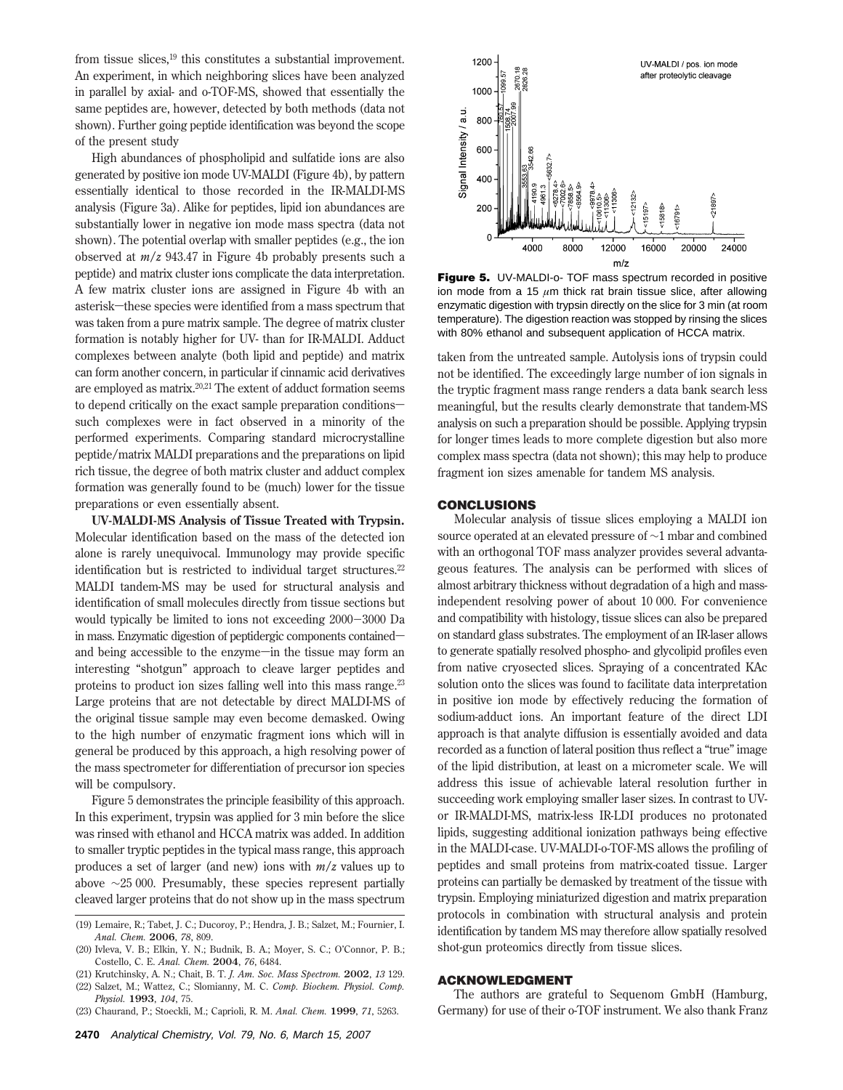from tissue slices,19 this constitutes a substantial improvement. An experiment, in which neighboring slices have been analyzed in parallel by axial- and o-TOF-MS, showed that essentially the same peptides are, however, detected by both methods (data not shown). Further going peptide identification was beyond the scope of the present study

High abundances of phospholipid and sulfatide ions are also generated by positive ion mode UV-MALDI (Figure 4b), by pattern essentially identical to those recorded in the IR-MALDI-MS analysis (Figure 3a). Alike for peptides, lipid ion abundances are substantially lower in negative ion mode mass spectra (data not shown). The potential overlap with smaller peptides (e.g., the ion observed at *m*/*z* 943.47 in Figure 4b probably presents such a peptide) and matrix cluster ions complicate the data interpretation. A few matrix cluster ions are assigned in Figure 4b with an asterisk-these species were identified from a mass spectrum that was taken from a pure matrix sample. The degree of matrix cluster formation is notably higher for UV- than for IR-MALDI. Adduct complexes between analyte (both lipid and peptide) and matrix can form another concern, in particular if cinnamic acid derivatives are employed as matrix. $20,21$  The extent of adduct formation seems to depend critically on the exact sample preparation conditionssuch complexes were in fact observed in a minority of the performed experiments. Comparing standard microcrystalline peptide/matrix MALDI preparations and the preparations on lipid rich tissue, the degree of both matrix cluster and adduct complex formation was generally found to be (much) lower for the tissue preparations or even essentially absent.

**UV-MALDI-MS Analysis of Tissue Treated with Trypsin.** Molecular identification based on the mass of the detected ion alone is rarely unequivocal. Immunology may provide specific identification but is restricted to individual target structures.<sup>22</sup> MALDI tandem-MS may be used for structural analysis and identification of small molecules directly from tissue sections but would typically be limited to ions not exceeding 2000-3000 Da in mass. Enzymatic digestion of peptidergic components containedand being accessible to the enzyme-in the tissue may form an interesting "shotgun" approach to cleave larger peptides and proteins to product ion sizes falling well into this mass range.23 Large proteins that are not detectable by direct MALDI-MS of the original tissue sample may even become demasked. Owing to the high number of enzymatic fragment ions which will in general be produced by this approach, a high resolving power of the mass spectrometer for differentiation of precursor ion species will be compulsory.

Figure 5 demonstrates the principle feasibility of this approach. In this experiment, trypsin was applied for 3 min before the slice was rinsed with ethanol and HCCA matrix was added. In addition to smaller tryptic peptides in the typical mass range, this approach produces a set of larger (and new) ions with *m*/*z* values up to above ∼25 000. Presumably, these species represent partially cleaved larger proteins that do not show up in the mass spectrum

(23) Chaurand, P.; Stoeckli, M.; Caprioli, R. M. *Anal. Chem.* **1999**, *71*, 5263.



**Figure 5.** UV-MALDI-o- TOF mass spectrum recorded in positive ion mode from a 15 *µ*m thick rat brain tissue slice, after allowing enzymatic digestion with trypsin directly on the slice for 3 min (at room temperature). The digestion reaction was stopped by rinsing the slices with 80% ethanol and subsequent application of HCCA matrix.

taken from the untreated sample. Autolysis ions of trypsin could not be identified. The exceedingly large number of ion signals in the tryptic fragment mass range renders a data bank search less meaningful, but the results clearly demonstrate that tandem-MS analysis on such a preparation should be possible. Applying trypsin for longer times leads to more complete digestion but also more complex mass spectra (data not shown); this may help to produce fragment ion sizes amenable for tandem MS analysis.

#### **CONCLUSIONS**

Molecular analysis of tissue slices employing a MALDI ion source operated at an elevated pressure of ∼1 mbar and combined with an orthogonal TOF mass analyzer provides several advantageous features. The analysis can be performed with slices of almost arbitrary thickness without degradation of a high and massindependent resolving power of about 10 000. For convenience and compatibility with histology, tissue slices can also be prepared on standard glass substrates. The employment of an IR-laser allows to generate spatially resolved phospho- and glycolipid profiles even from native cryosected slices. Spraying of a concentrated KAc solution onto the slices was found to facilitate data interpretation in positive ion mode by effectively reducing the formation of sodium-adduct ions. An important feature of the direct LDI approach is that analyte diffusion is essentially avoided and data recorded as a function of lateral position thus reflect a "true" image of the lipid distribution, at least on a micrometer scale. We will address this issue of achievable lateral resolution further in succeeding work employing smaller laser sizes. In contrast to UVor IR-MALDI-MS, matrix-less IR-LDI produces no protonated lipids, suggesting additional ionization pathways being effective in the MALDI-case. UV-MALDI-o-TOF-MS allows the profiling of peptides and small proteins from matrix-coated tissue. Larger proteins can partially be demasked by treatment of the tissue with trypsin. Employing miniaturized digestion and matrix preparation protocols in combination with structural analysis and protein identification by tandem MS may therefore allow spatially resolved shot-gun proteomics directly from tissue slices.

#### **ACKNOWLEDGMENT**

The authors are grateful to Sequenom GmbH (Hamburg, Germany) for use of their o-TOF instrument. We also thank Franz

<sup>(19)</sup> Lemaire, R.; Tabet, J. C.; Ducoroy, P.; Hendra, J. B.; Salzet, M.; Fournier, I. *Anal. Chem.* **2006**, *78*, 809.

<sup>(20)</sup> Ivleva, V. B.; Elkin, Y. N.; Budnik, B. A.; Moyer, S. C.; O'Connor, P. B.; Costello, C. E. *Anal. Chem.* **2004**, *76*, 6484.

<sup>(21)</sup> Krutchinsky, A. N.; Chait, B. T. *J. Am. Soc. Mass Spectrom.* **2002**, *13* 129. (22) Salzet, M.; Wattez, C.; Slomianny, M. C. *Comp. Biochem. Physiol. Comp.*

*Physiol.* **1993**, *104*, 75.